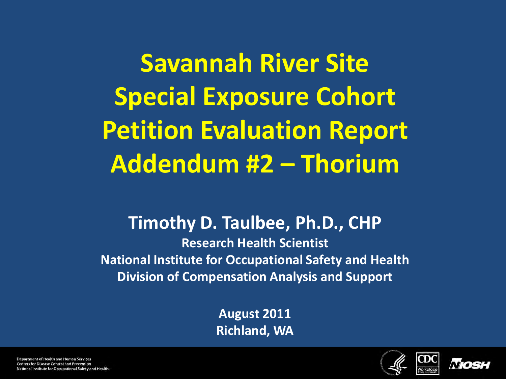**Savannah River Site Special Exposure Cohort Petition Evaluation Report Addendum #2 – Thorium**

#### **Timothy D. Taulbee, Ph.D., CHP**

**Research Health Scientist National Institute for Occupational Safety and Health Division of Compensation Analysis and Support**

> **August 2011 Richland, WA**





Department of Health and Human Services Centers for Disease Control and Prevention National Institute for Occupational Safety and Health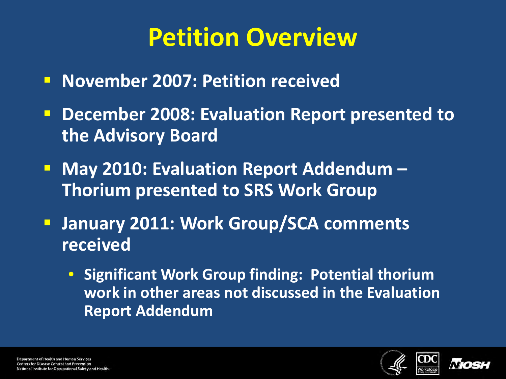# **Petition Overview**

- **November 2007: Petition received**
- **December 2008: Evaluation Report presented to the Advisory Board**
- **May 2010: Evaluation Report Addendum -Thorium presented to SRS Work Group**
- **January 2011: Work Group/SCA comments received**
	- **Significant Work Group finding: Potential thorium work in other areas not discussed in the Evaluation Report Addendum**



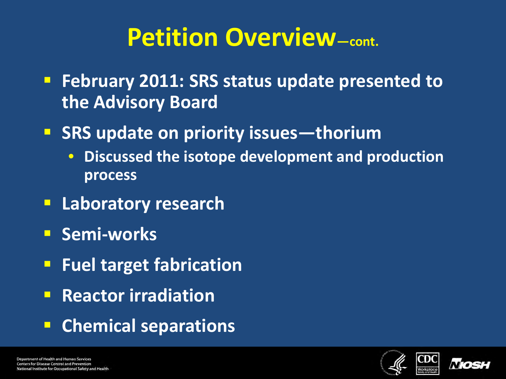# **Petition Overview—cont.**

- **February 2011: SRS status update presented to the Advisory Board**
- **SRS update on priority issues—thorium** 
	- **Discussed the isotope development and production process**
- **Laboratory research**
- **E** Semi-works
- **Fuel target fabrication**
- **Reactor irradiation**
- **Chemical separations**

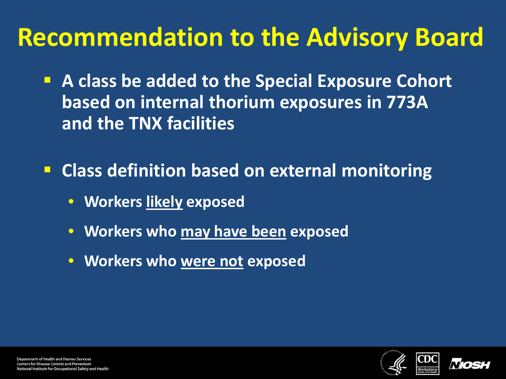# **Recommendation to the Advisory Board**

- **A class be added to the Special Exposure Cohort based on internal thorium exposures in 773A and the TNX facilities**
- **Class definition based on external monitoring**
	- **Workers likely exposed**
	- **Workers who may have been exposed**
	- **Workers who were not exposed**



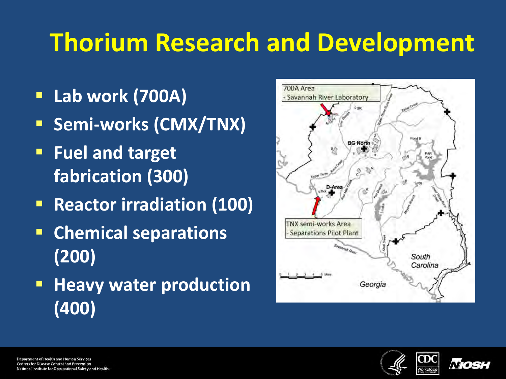# **Thorium Research and Development**

- **Lab work (700A)**
- **Semi-works (CMX/TNX)**
- **Fuel and target fabrication (300)**
- **Reactor irradiation (100)**
- **Chemical separations (200)**
- **Heavy water production (400)**



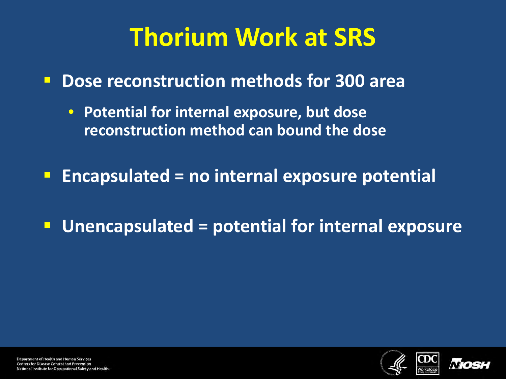# **Thorium Work at SRS**

**Dose reconstruction methods for 300 area**

- **Potential for internal exposure, but dose reconstruction method can bound the dose**
- **Encapsulated = no internal exposure potential**
- **Unencapsulated = potential for internal exposure**

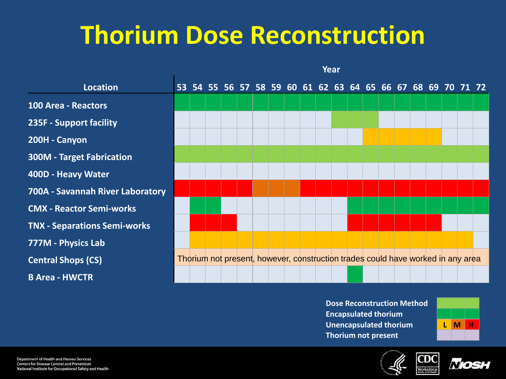#### **Thorium Dose Reconstruction**

|                                     | Year |  |  |  |  |  |                                                                                 |  |  |  |  |  |  |  |
|-------------------------------------|------|--|--|--|--|--|---------------------------------------------------------------------------------|--|--|--|--|--|--|--|
| <b>Location</b>                     |      |  |  |  |  |  | 53 54 55 56 57 58 59 60 61 62 63 64 65 66 67 68 69 70 71 72                     |  |  |  |  |  |  |  |
| <b>100 Area - Reactors</b>          |      |  |  |  |  |  |                                                                                 |  |  |  |  |  |  |  |
| 235F - Support facility             |      |  |  |  |  |  |                                                                                 |  |  |  |  |  |  |  |
| 200H - Canyon                       |      |  |  |  |  |  |                                                                                 |  |  |  |  |  |  |  |
| <b>300M - Target Fabrication</b>    |      |  |  |  |  |  |                                                                                 |  |  |  |  |  |  |  |
| 400D - Heavy Water                  |      |  |  |  |  |  |                                                                                 |  |  |  |  |  |  |  |
| 700A - Savannah River Laboratory    |      |  |  |  |  |  |                                                                                 |  |  |  |  |  |  |  |
| <b>CMX - Reactor Semi-works</b>     |      |  |  |  |  |  |                                                                                 |  |  |  |  |  |  |  |
| <b>TNX - Separations Semi-works</b> |      |  |  |  |  |  |                                                                                 |  |  |  |  |  |  |  |
| 777M - Physics Lab                  |      |  |  |  |  |  |                                                                                 |  |  |  |  |  |  |  |
| <b>Central Shops (CS)</b>           |      |  |  |  |  |  | Thorium not present, however, construction trades could have worked in any area |  |  |  |  |  |  |  |
| <b>B Area - HWCTR</b>               |      |  |  |  |  |  |                                                                                 |  |  |  |  |  |  |  |

**Dose Reconstruction Method Encapsulated thorium Unencapsulated thorium L M H Thorium not present**





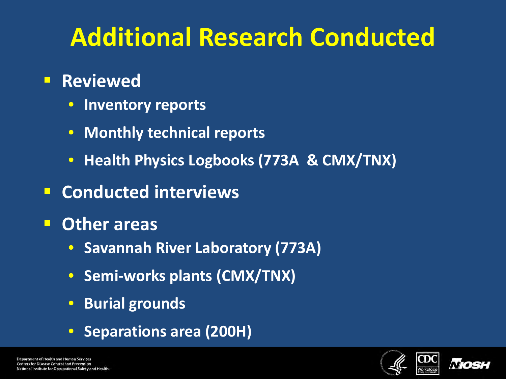# **Additional Research Conducted**

#### **Reviewed**

- **Inventory reports**
- **Monthly technical reports**
- **Health Physics Logbooks (773A & CMX/TNX)**
- **E** Conducted interviews
- **Other areas**
	- **Savannah River Laboratory (773A)**
	- **Semi-works plants (CMX/TNX)**
	- **Burial grounds**
	- **Separations area (200H)**



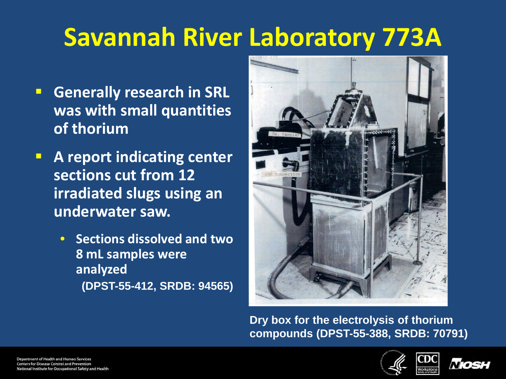- **Generally research in SRL was with small quantities of thorium**
- **A report indicating center sections cut from 12 irradiated slugs using an underwater saw.**
	- **Sections dissolved and two 8 mL samples were analyzed (DPST-55-412, SRDB: 94565)**



**Dry box for the electrolysis of thorium compounds (DPST-55-388, SRDB: 70791)**



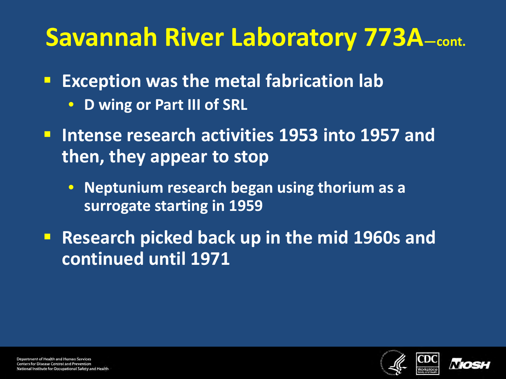- **Exception was the metal fabrication lab** 
	- **D wing or Part III of SRL**
- **Intense research activities 1953 into 1957 and then, they appear to stop**
	- **Neptunium research began using thorium as a surrogate starting in 1959**
- **Research picked back up in the mid 1960s and continued until 1971**



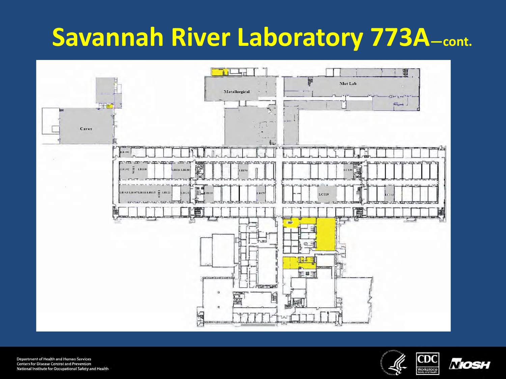

Department of Health and Human Services Centers for Disease Control and Prevention National Institute for Occupational Safety and Health



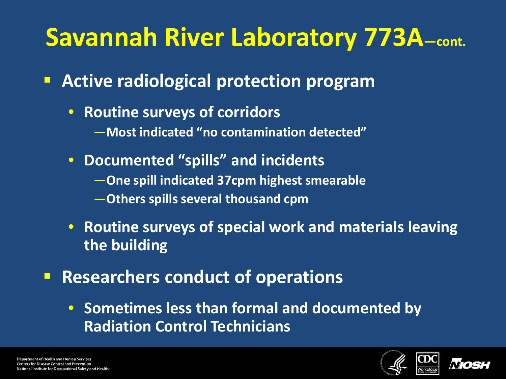- **Active radiological protection program**
	- **Routine surveys of corridors** —**Most indicated "no contamination detected"**
	- **Documented "spills" and incidents** —**One spill indicated 37cpm highest smearable** —**Others spills several thousand cpm**
	- **Routine surveys of special work and materials leaving the building**
- **Researchers conduct of operations** 
	- **Sometimes less than formal and documented by Radiation Control Technicians**



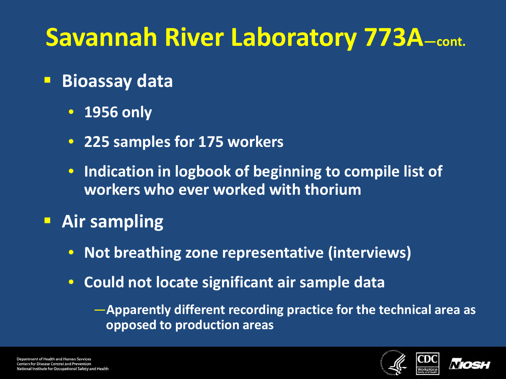- **Bioassay data**
	- **1956 only**
	- **225 samples for 175 workers**
	- **Indication in logbook of beginning to compile list of workers who ever worked with thorium**
- **Air sampling**
	- **Not breathing zone representative (interviews)**
	- **Could not locate significant air sample data**

—**Apparently different recording practice for the technical area as opposed to production areas**



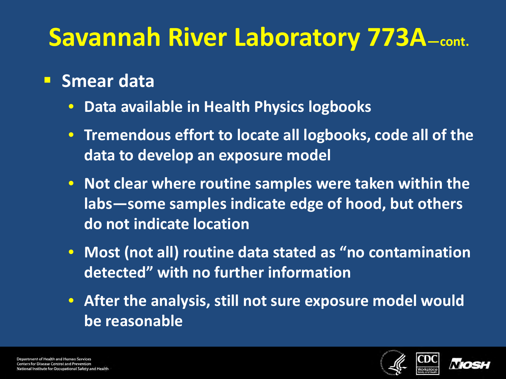#### **Smear data**

- **Data available in Health Physics logbooks**
- **Tremendous effort to locate all logbooks, code all of the data to develop an exposure model**
- **Not clear where routine samples were taken within the labs—some samples indicate edge of hood, but others do not indicate location**
- **Most (not all) routine data stated as "no contamination detected" with no further information**
- **After the analysis, still not sure exposure model would be reasonable**



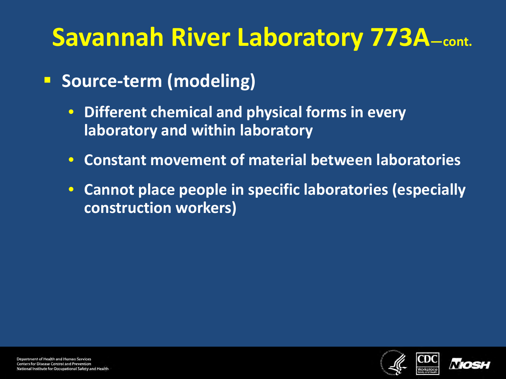- **Source-term (modeling)** 
	- **Different chemical and physical forms in every laboratory and within laboratory**
	- **Constant movement of material between laboratories**
	- **Cannot place people in specific laboratories (especially construction workers)**



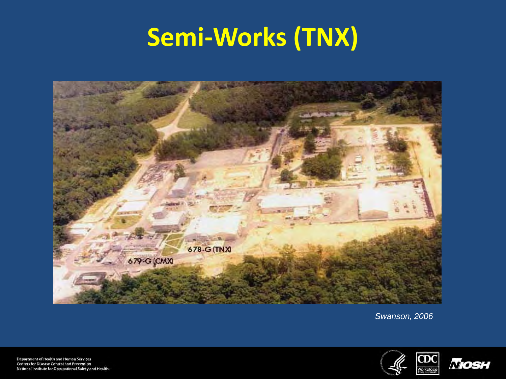# **Semi-Works (TNX)**



*Swanson, 2006*



Department of Health and Human Services Centers for Disease Control and Prevention National Institute for Occupational Safety and Health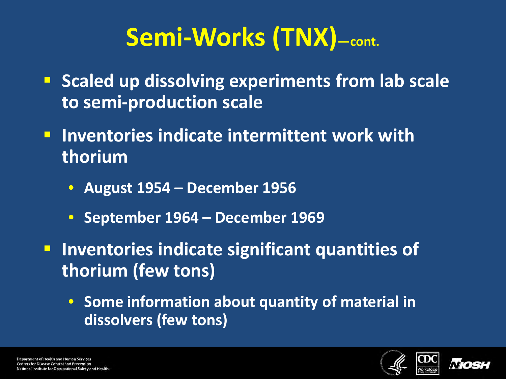# **Semi-Works (TNX)—cont.**

- **E** Scaled up dissolving experiments from lab scale **to semi-production scale**
- **Inventories indicate intermittent work with thorium** 
	- **August 1954 – December 1956**
	- **September 1964 – December 1969**
- **Inventories indicate significant quantities of thorium (few tons)**
	- **Some information about quantity of material in dissolvers (few tons)**



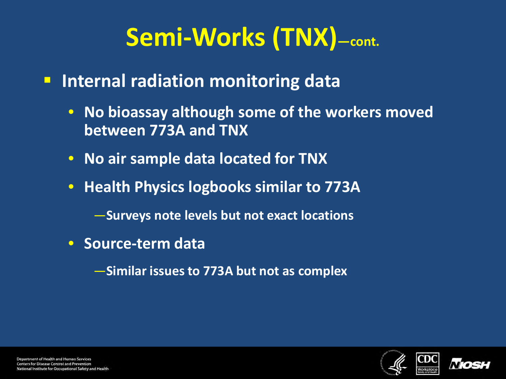# **Semi-Works (TNX)—cont.**

- **Internal radiation monitoring data** 
	- **No bioassay although some of the workers moved between 773A and TNX**
	- **No air sample data located for TNX**
	- **Health Physics logbooks similar to 773A**

—**Surveys note levels but not exact locations** 

• **Source-term data**

—**Similar issues to 773A but not as complex**



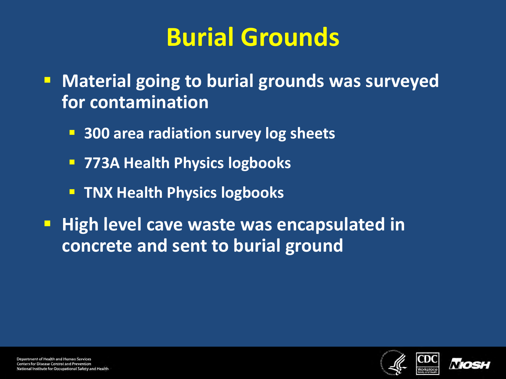# **Burial Grounds**

- **E** Material going to burial grounds was surveyed **for contamination**
	- **300 area radiation survey log sheets**
	- **773A Health Physics logbooks**
	- **TIMX Health Physics logbooks**
- **High level cave waste was encapsulated in concrete and sent to burial ground**



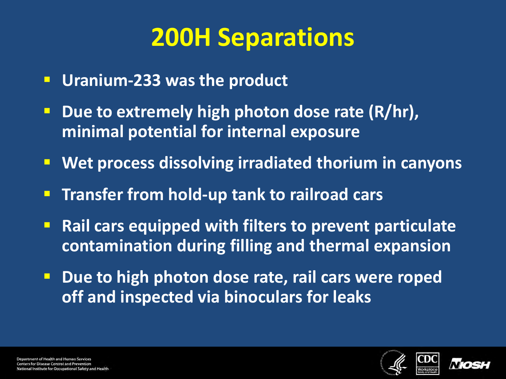# **200H Separations**

- **Uranium-233 was the product**
- **Due to extremely high photon dose rate (R/hr), minimal potential for internal exposure**
- **Wet process dissolving irradiated thorium in canyons**
- **Transfer from hold-up tank to railroad cars**
- **Rail cars equipped with filters to prevent particulate contamination during filling and thermal expansion**
- **P** Due to high photon dose rate, rail cars were roped **off and inspected via binoculars for leaks**



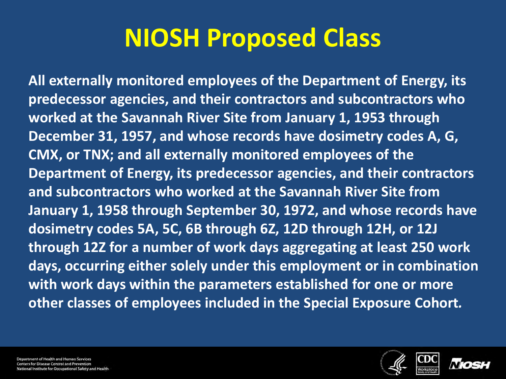# **NIOSH Proposed Class**

**All externally monitored employees of the Department of Energy, its predecessor agencies, and their contractors and subcontractors who worked at the Savannah River Site from January 1, 1953 through December 31, 1957, and whose records have dosimetry codes A, G, CMX, or TNX; and all externally monitored employees of the Department of Energy, its predecessor agencies, and their contractors and subcontractors who worked at the Savannah River Site from January 1, 1958 through September 30, 1972, and whose records have dosimetry codes 5A, 5C, 6B through 6Z, 12D through 12H, or 12J through 12Z for a number of work days aggregating at least 250 work days, occurring either solely under this employment or in combination with work days within the parameters established for one or more other classes of employees included in the Special Exposure Cohort***.*





Department of Health and Human Services **Centers for Disease Control and Prevention** lational Institute for Occupational Safety and Health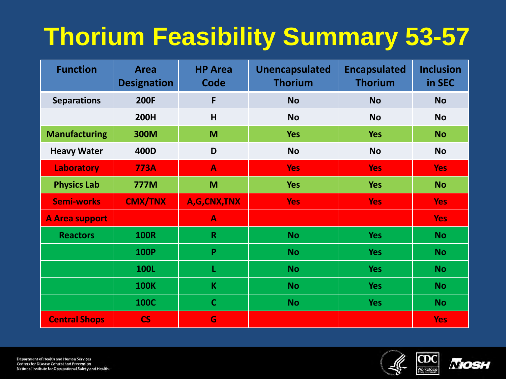# **Thorium Feasibility Summary 53-57**

| <b>Function</b>       | <b>Area</b><br><b>Designation</b> | <b>HP Area</b><br><b>Code</b> | <b>Unencapsulated</b><br><b>Thorium</b> | <b>Encapsulated</b><br><b>Thorium</b> | <b>Inclusion</b><br>in SEC |  |
|-----------------------|-----------------------------------|-------------------------------|-----------------------------------------|---------------------------------------|----------------------------|--|
| <b>Separations</b>    | <b>200F</b>                       | F                             | <b>No</b>                               | <b>No</b>                             | <b>No</b>                  |  |
|                       | <b>200H</b>                       | H                             | <b>No</b>                               | <b>No</b>                             | <b>No</b>                  |  |
| <b>Manufacturing</b>  | <b>300M</b>                       | M                             | <b>Yes</b>                              | <b>Yes</b>                            | <b>No</b>                  |  |
| <b>Heavy Water</b>    | 400D                              | D                             | <b>No</b>                               | <b>No</b>                             | <b>No</b>                  |  |
| Laboratory            | <b>773A</b>                       | $\blacktriangle$              | <b>Yes</b>                              | Yes <sup>-</sup>                      | <b>Yes</b>                 |  |
| <b>Physics Lab</b>    | <b>777M</b>                       | M                             | <b>Yes</b>                              | <b>Yes</b>                            | <b>No</b>                  |  |
| <b>Semi-works</b>     | <b>CMX/TNX</b>                    | A,G,CNX,TNX                   | <b>Yes</b>                              | <b>Yes</b>                            | <b>Yes</b>                 |  |
| <b>A Area support</b> |                                   | $\blacktriangle$              |                                         |                                       | <b>Yes</b>                 |  |
| <b>Reactors</b>       | <b>100R</b>                       | $\mathbf R$                   | <b>No</b>                               | <b>Yes</b>                            | <b>No</b>                  |  |
|                       | <b>100P</b>                       | P                             | <b>No</b>                               | <b>Yes</b>                            | <b>No</b>                  |  |
|                       | 100L                              | L                             | <b>No</b>                               | <b>Yes</b>                            | <b>No</b>                  |  |
|                       | <b>100K</b>                       | $\mathsf K$                   | <b>No</b>                               | <b>Yes</b>                            | <b>No</b>                  |  |
|                       | <b>100C</b>                       | $\mathbf C$                   | <b>No</b>                               | <b>Yes</b>                            | <b>No</b>                  |  |
| <b>Central Shops</b>  | <b>CS</b>                         | G                             |                                         |                                       | <b>Yes</b>                 |  |



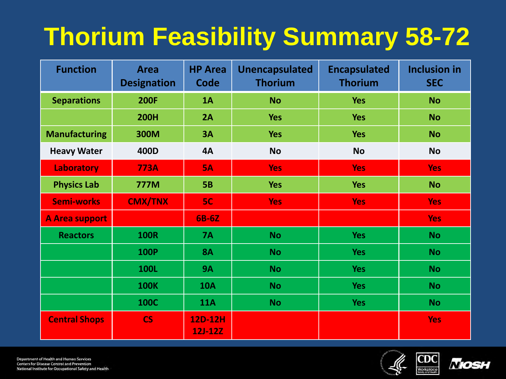# **Thorium Feasibility Summary 58-72**

| <b>Function</b>       | <b>Area</b><br><b>Designation</b> | <b>HP Area</b><br><b>Code</b> | <b>Unencapsulated</b><br><b>Thorium</b> | <b>Encapsulated</b><br><b>Thorium</b> | <b>Inclusion in</b><br><b>SEC</b> |  |  |
|-----------------------|-----------------------------------|-------------------------------|-----------------------------------------|---------------------------------------|-----------------------------------|--|--|
| <b>Separations</b>    | <b>200F</b>                       | 1A                            | <b>No</b>                               | <b>Yes</b>                            | <b>No</b>                         |  |  |
|                       | <b>200H</b>                       | 2A                            | <b>Yes</b>                              | <b>Yes</b>                            | <b>No</b>                         |  |  |
| <b>Manufacturing</b>  | 300M                              | 3A                            | <b>Yes</b>                              | <b>Yes</b>                            | <b>No</b>                         |  |  |
| <b>Heavy Water</b>    | 400D                              | <b>4A</b>                     | <b>No</b>                               | <b>No</b>                             | <b>No</b>                         |  |  |
| <b>Laboratory</b>     | <b>773A</b>                       | <b>5A</b>                     | <b>Yes</b>                              | <b>Yes</b>                            | <b>Yes</b>                        |  |  |
| <b>Physics Lab</b>    | <b>777M</b>                       | <b>5B</b>                     | <b>Yes</b>                              | <b>Yes</b>                            | <b>No</b>                         |  |  |
| <b>Semi-works</b>     | <b>CMX/TNX</b>                    | 5C                            | <b>Yes</b>                              | <b>Yes</b>                            | <b>Yes</b>                        |  |  |
| <b>A Area support</b> |                                   | 6B-6Z                         |                                         |                                       | <b>Yes</b>                        |  |  |
| <b>Reactors</b>       | <b>100R</b>                       | <b>7A</b>                     | <b>No</b>                               | <b>Yes</b>                            | <b>No</b>                         |  |  |
|                       | <b>100P</b>                       | <b>8A</b>                     | <b>No</b>                               | <b>Yes</b>                            | <b>No</b>                         |  |  |
|                       | <b>100L</b>                       | <b>9A</b>                     | <b>No</b>                               | <b>Yes</b>                            | <b>No</b>                         |  |  |
|                       | <b>100K</b>                       | <b>10A</b>                    | <b>No</b>                               | <b>Yes</b>                            | <b>No</b>                         |  |  |
|                       | <b>100C</b>                       | <b>11A</b>                    | <b>No</b>                               | <b>Yes</b>                            | <b>No</b>                         |  |  |
| <b>Central Shops</b>  | <b>CS</b>                         | 12D-12H<br><b>12J-12Z</b>     |                                         |                                       | <b>Yes</b>                        |  |  |





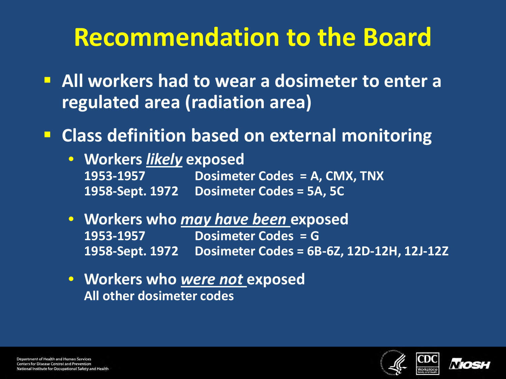# **Recommendation to the Board**

- **All workers had to wear a dosimeter to enter a regulated area (radiation area)**
- **Class definition based on external monitoring**
	- **Workers** *likely* **exposed 1953-1957 Dosimeter Codes = A, CMX, TNX 1958-Sept. 1972 Dosimeter Codes = 5A, 5C**
	- **Workers who** *may have been* **exposed 1953-1957 Dosimeter Codes = G 1958-Sept. 1972 Dosimeter Codes = 6B-6Z, 12D-12H, 12J-12Z**
	- **Workers who** *were not* **exposed All other dosimeter codes**



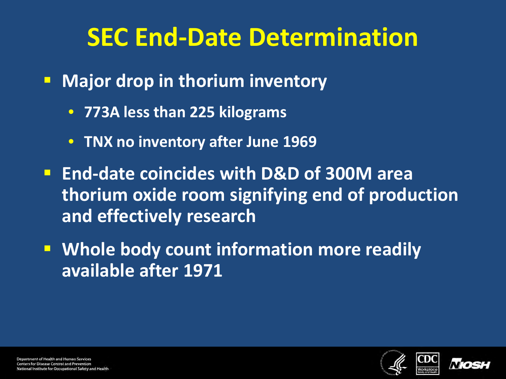# **SEC End-Date Determination**

- **Major drop in thorium inventory** 
	- **773A less than 225 kilograms**
	- **TNX no inventory after June 1969**
- **End-date coincides with D&D of 300M area thorium oxide room signifying end of production and effectively research**
- **Whole body count information more readily available after 1971**



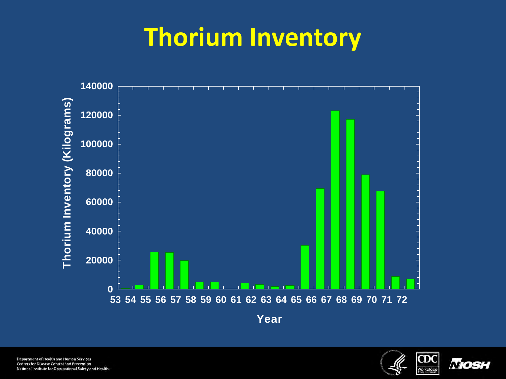# **Thorium Inventory**



Department of Health and Human Services Centers for Disease Control and Prevention National Institute for Occupational Safety and Health



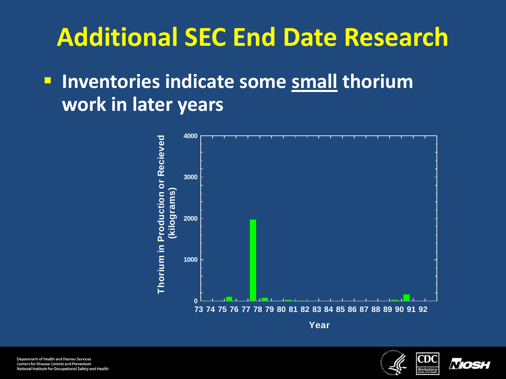# **Additional SEC End Date Research**

#### **Inventories indicate some small thorium work in later years**





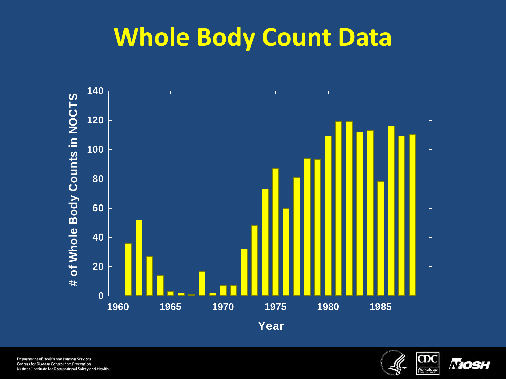#### **Whole Body Count Data**



Department of Health and Human Services **Centers for Disease Control and Prevention** National Institute for Occupational Safety and Health



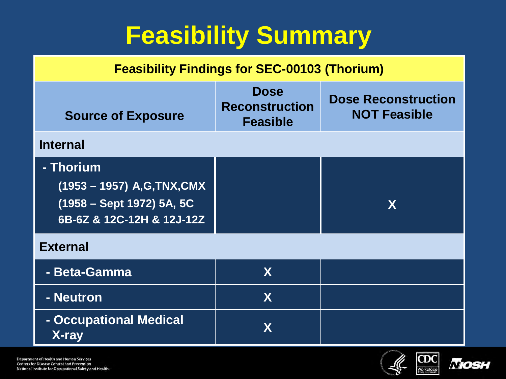# **Feasibility Summary**

#### **Feasibility Findings for SEC-00103 (Thorium) Source of Exposure Dose Reconstruction Feasible Dose Reconstruction NOT Feasible Internal - Thorium (1953 – 1957) A,G,TNX,CMX (1958 – Sept 1972) 5A, 5C 6B-6Z & 12C-12H & 12J-12Z X External - Beta-Gamma X - Neutron X - Occupational Medical X-ray X**



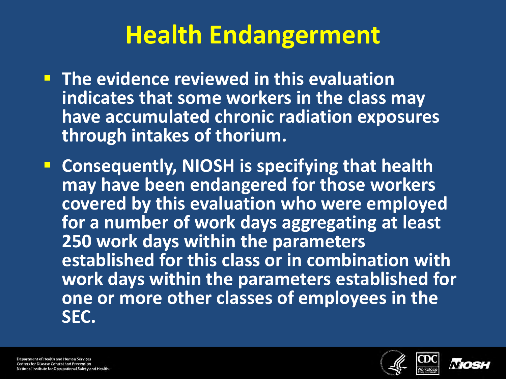# **Health Endangerment**

- **The evidence reviewed in this evaluation indicates that some workers in the class may have accumulated chronic radiation exposures through intakes of thorium.**
- **E** Consequently, NIOSH is specifying that health **may have been endangered for those workers covered by this evaluation who were employed for a number of work days aggregating at least 250 work days within the parameters established for this class or in combination with work days within the parameters established for one or more other classes of employees in the SEC.**